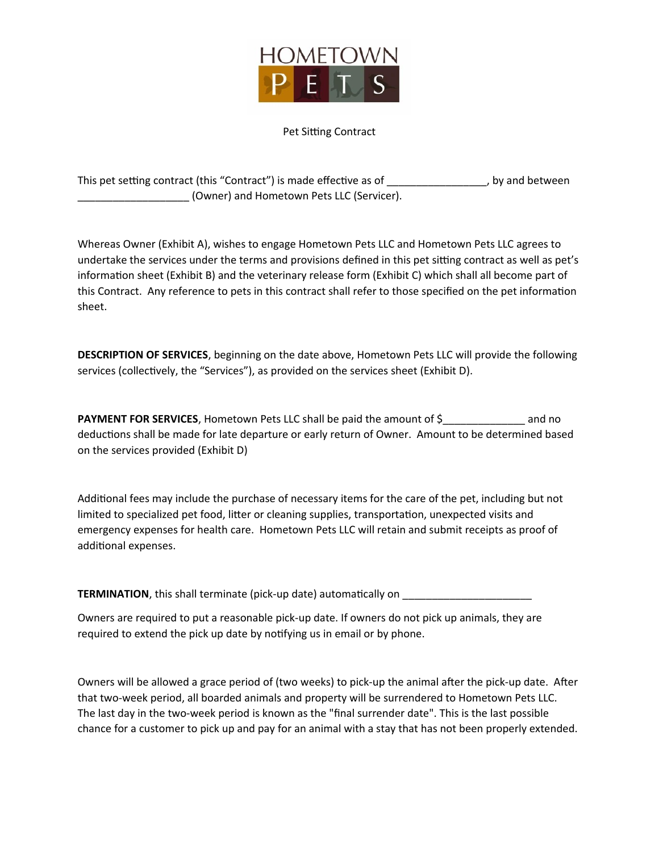

# Pet Sitting Contract

| This pet setting contract (this "Contract") is made effective as of | , by and between |
|---------------------------------------------------------------------|------------------|
| (Owner) and Hometown Pets LLC (Servicer).                           |                  |

Whereas Owner (Exhibit A), wishes to engage Hometown Pets LLC and Hometown Pets LLC agrees to undertake the services under the terms and provisions defined in this pet sitting contract as well as pet's information sheet (Exhibit B) and the veterinary release form (Exhibit C) which shall all become part of this Contract. Any reference to pets in this contract shall refer to those specified on the pet information sheet.

**DESCRIPTION OF SERVICES**, beginning on the date above, Hometown Pets LLC will provide the following services (collectively, the "Services"), as provided on the services sheet (Exhibit D).

**PAYMENT FOR SERVICES**, Hometown Pets LLC shall be paid the amount of \$\_\_\_\_\_\_\_\_\_\_\_\_\_\_\_ and no deductions shall be made for late departure or early return of Owner. Amount to be determined based on the services provided (Exhibit D)

Additional fees may include the purchase of necessary items for the care of the pet, including but not limited to specialized pet food, litter or cleaning supplies, transportation, unexpected visits and emergency expenses for health care. Hometown Pets LLC will retain and submit receipts as proof of additional expenses.

**TERMINATION**, this shall terminate (pick-up date) automatically on \_\_\_\_\_\_\_\_\_\_\_\_\_

Owners are required to put a reasonable pick-up date. If owners do not pick up animals, they are required to extend the pick up date by notifying us in email or by phone.

Owners will be allowed a grace period of (two weeks) to pick-up the animal after the pick-up date. After that two-week period, all boarded animals and property will be surrendered to Hometown Pets LLC. The last day in the two-week period is known as the "final surrender date". This is the last possible chance for a customer to pick up and pay for an animal with a stay that has not been properly extended.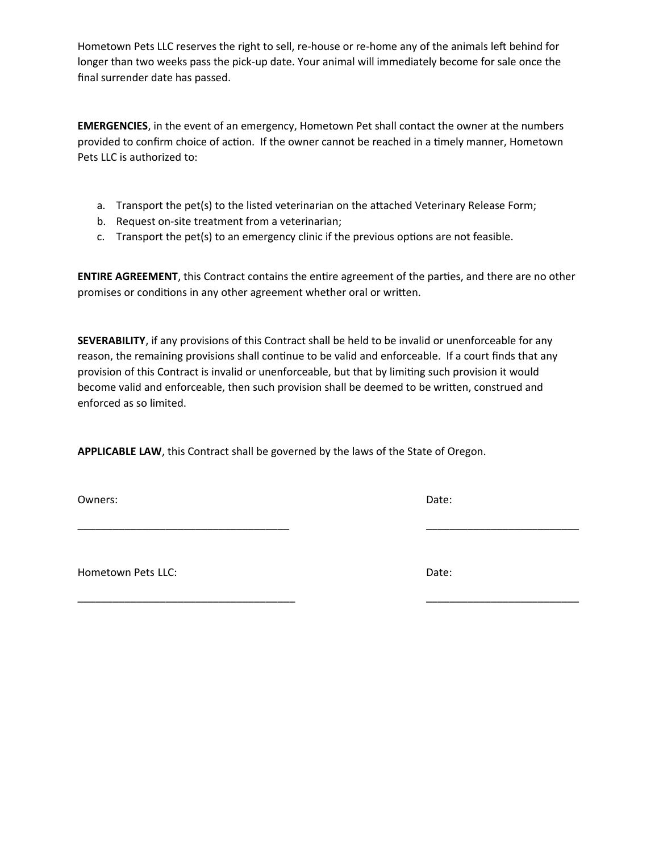Hometown Pets LLC reserves the right to sell, re-house or re-home any of the animals left behind for longer than two weeks pass the pick-up date. Your animal will immediately become for sale once the final surrender date has passed.

**EMERGENCIES**, in the event of an emergency, Hometown Pet shall contact the owner at the numbers provided to confirm choice of action. If the owner cannot be reached in a timely manner, Hometown Pets LLC is authorized to:

- a. Transport the pet(s) to the listed veterinarian on the attached Veterinary Release Form;
- b. Request on-site treatment from a veterinarian;
- c. Transport the pet(s) to an emergency clinic if the previous options are not feasible.

**ENTIRE AGREEMENT**, this Contract contains the entire agreement of the parties, and there are no other promises or conditions in any other agreement whether oral or written.

**SEVERABILITY**, if any provisions of this Contract shall be held to be invalid or unenforceable for any reason, the remaining provisions shall continue to be valid and enforceable. If a court finds that any provision of this Contract is invalid or unenforceable, but that by limiting such provision it would become valid and enforceable, then such provision shall be deemed to be written, construed and enforced as so limited.

\_\_\_\_\_\_\_\_\_\_\_\_\_\_\_\_\_\_\_\_\_\_\_\_\_\_\_\_\_\_\_\_\_\_\_\_ \_\_\_\_\_\_\_\_\_\_\_\_\_\_\_\_\_\_\_\_\_\_\_\_\_\_

\_\_\_\_\_\_\_\_\_\_\_\_\_\_\_\_\_\_\_\_\_\_\_\_\_\_\_\_\_\_\_\_\_\_\_\_\_ \_\_\_\_\_\_\_\_\_\_\_\_\_\_\_\_\_\_\_\_\_\_\_\_\_\_

**APPLICABLE LAW**, this Contract shall be governed by the laws of the State of Oregon.

Owners: Date: Development of the contract of the contract of the contract of the contract of the contract of the contract of the contract of the contract of the contract of the contract of the contract of the contract of t

Hometown Pets LLC: Notice and the set of the patient of the patient of the Date: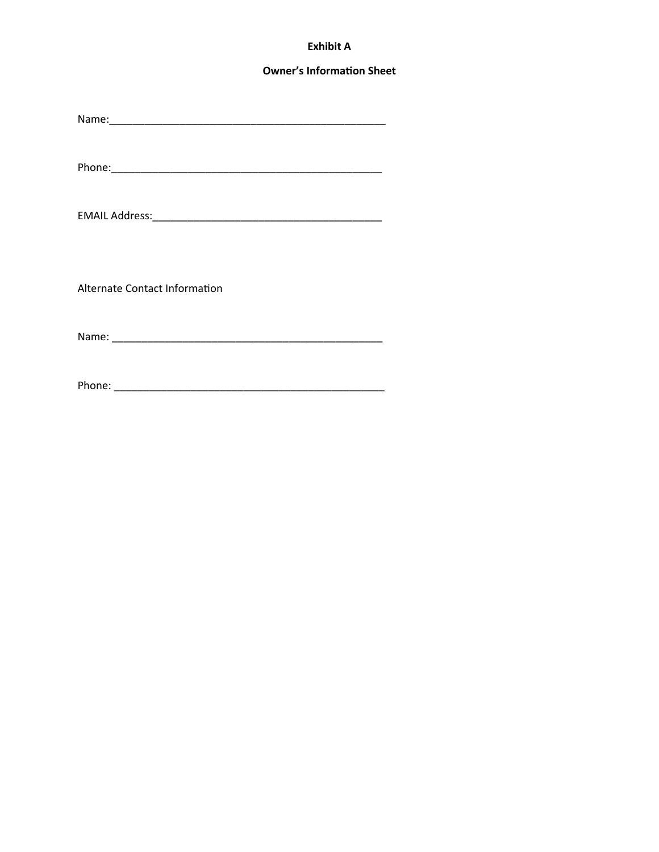# **Exhibit A**

## **Owner's Information Sheet**

Alternate Contact Information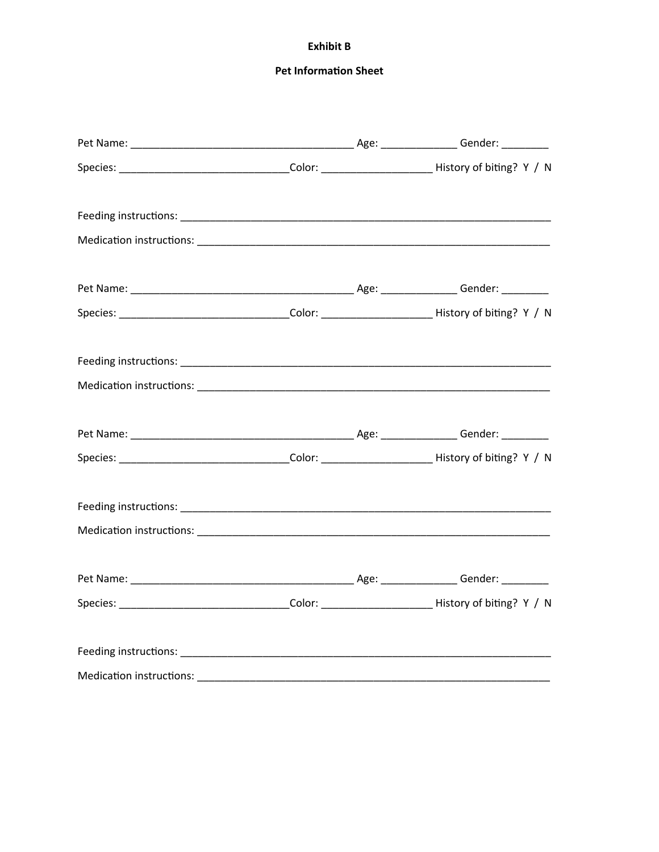## **Exhibit B**

# **Pet Information Sheet**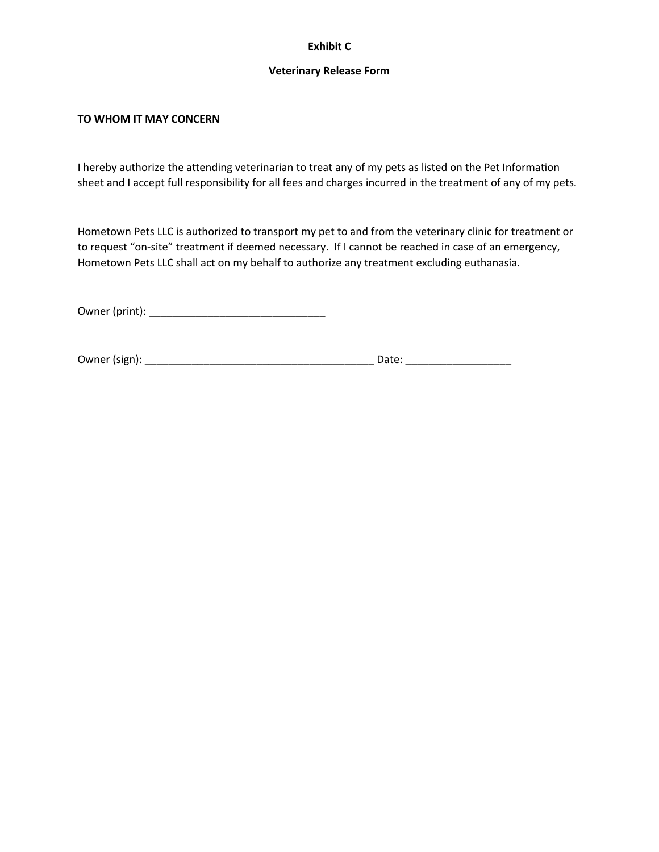# **Exhibit C**

#### **Veterinary Release Form**

## **TO WHOM IT MAY CONCERN**

I hereby authorize the attending veterinarian to treat any of my pets as listed on the Pet Information sheet and I accept full responsibility for all fees and charges incurred in the treatment of any of my pets.

Hometown Pets LLC is authorized to transport my pet to and from the veterinary clinic for treatment or to request "on-site" treatment if deemed necessary. If I cannot be reached in case of an emergency, Hometown Pets LLC shall act on my behalf to authorize any treatment excluding euthanasia.

Owner (print): \_\_\_\_\_\_\_\_\_\_\_\_\_\_\_\_\_\_\_\_\_\_\_\_\_\_\_\_\_\_

Owner (sign): \_\_\_\_\_\_\_\_\_\_\_\_\_\_\_\_\_\_\_\_\_\_\_\_\_\_\_\_\_\_\_\_\_\_\_\_\_\_\_ Date: \_\_\_\_\_\_\_\_\_\_\_\_\_\_\_\_\_\_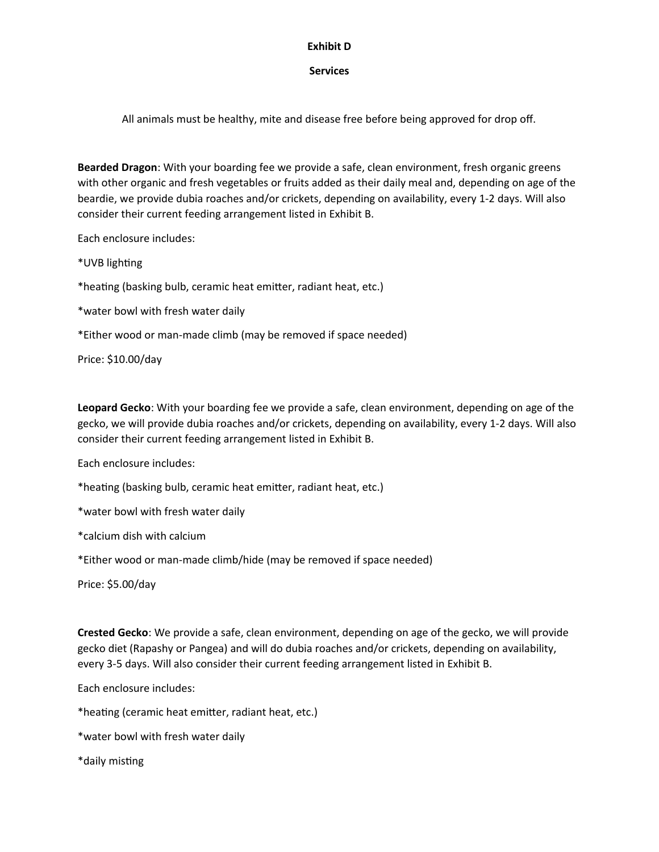# **Exhibit D**

# **Services**

All animals must be healthy, mite and disease free before being approved for drop off.

**Bearded Dragon**: With your boarding fee we provide a safe, clean environment, fresh organic greens with other organic and fresh vegetables or fruits added as their daily meal and, depending on age of the beardie, we provide dubia roaches and/or crickets, depending on availability, every 1-2 days. Will also consider their current feeding arrangement listed in Exhibit B.

Each enclosure includes:

\*UVB lighting

\*heating (basking bulb, ceramic heat emitter, radiant heat, etc.)

\*water bowl with fresh water daily

\*Either wood or man-made climb (may be removed if space needed)

Price: \$10.00/day

**Leopard Gecko**: With your boarding fee we provide a safe, clean environment, depending on age of the gecko, we will provide dubia roaches and/or crickets, depending on availability, every 1-2 days. Will also consider their current feeding arrangement listed in Exhibit B.

Each enclosure includes:

\*heating (basking bulb, ceramic heat emitter, radiant heat, etc.)

\*water bowl with fresh water daily

\*calcium dish with calcium

\*Either wood or man-made climb/hide (may be removed if space needed)

Price: \$5.00/day

**Crested Gecko**: We provide a safe, clean environment, depending on age of the gecko, we will provide gecko diet (Rapashy or Pangea) and will do dubia roaches and/or crickets, depending on availability, every 3-5 days. Will also consider their current feeding arrangement listed in Exhibit B.

Each enclosure includes:

\*heating (ceramic heat emitter, radiant heat, etc.)

- \*water bowl with fresh water daily
- \*daily misting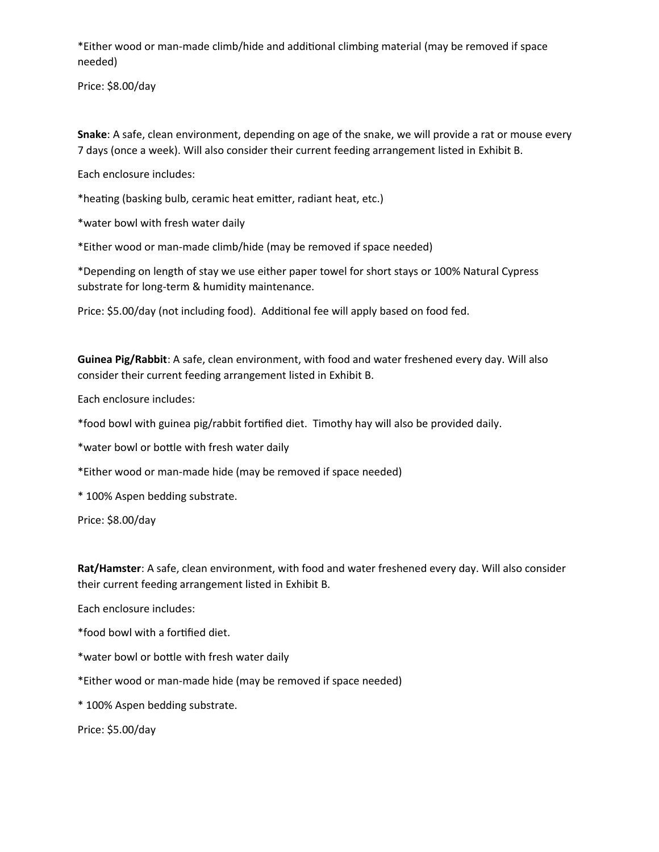\*Either wood or man-made climb/hide and additional climbing material (may be removed if space needed)

Price: \$8.00/day

**Snake**: A safe, clean environment, depending on age of the snake, we will provide a rat or mouse every 7 days (once a week). Will also consider their current feeding arrangement listed in Exhibit B.

Each enclosure includes:

\*heating (basking bulb, ceramic heat emitter, radiant heat, etc.)

\*water bowl with fresh water daily

\*Either wood or man-made climb/hide (may be removed if space needed)

\*Depending on length of stay we use either paper towel for short stays or 100% Natural Cypress substrate for long-term & humidity maintenance.

Price: \$5.00/day (not including food). Additional fee will apply based on food fed.

**Guinea Pig/Rabbit**: A safe, clean environment, with food and water freshened every day. Will also consider their current feeding arrangement listed in Exhibit B.

Each enclosure includes:

\*food bowl with guinea pig/rabbit fortified diet. Timothy hay will also be provided daily.

\*water bowl or bottle with fresh water daily

\*Either wood or man-made hide (may be removed if space needed)

\* 100% Aspen bedding substrate.

Price: \$8.00/day

**Rat/Hamster**: A safe, clean environment, with food and water freshened every day. Will also consider their current feeding arrangement listed in Exhibit B.

Each enclosure includes:

\*food bowl with a fortified diet.

\*water bowl or bottle with fresh water daily

\*Either wood or man-made hide (may be removed if space needed)

\* 100% Aspen bedding substrate.

Price: \$5.00/day